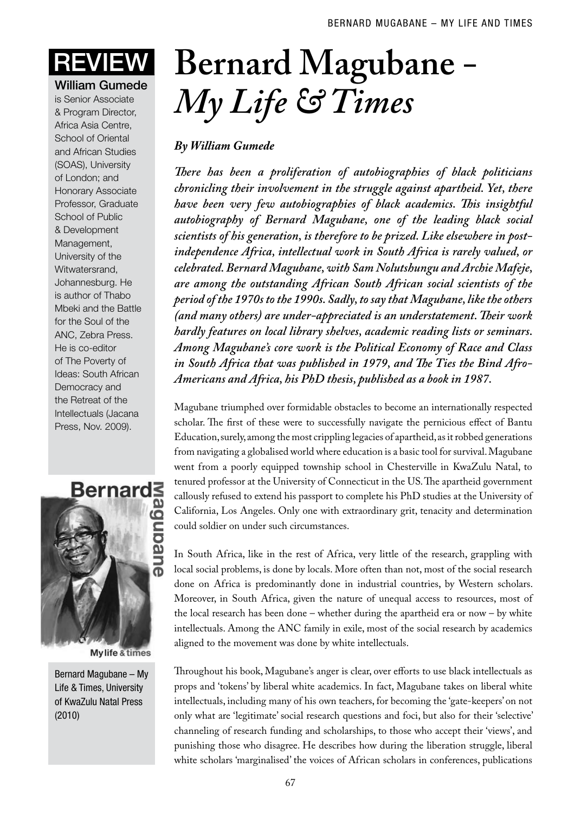## William Gumede

is Senior Associate & Program Director, Africa Asia Centre, School of Oriental and African Studies (SOAS), University of London; and Honorary Associate Professor, Graduate School of Public & Development Management, University of the Witwatersrand, Johannesburg. He is author of Thabo Mbeki and the Battle for the Soul of the ANC, Zebra Press. He is co-editor of The Poverty of Ideas: South African Democracy and the Retreat of the Intellectuals (Jacana Press, Nov. 2009).



**Mylife & times** 

Bernard Magubane – My Life & Times, University of KwaZulu Natal Press (2010)

## Review **Bernard Magubane** *- My Life & Times*

## *By William Gumede*

*There has been a proliferation of autobiographies of black politicians chronicling their involvement in the struggle against apartheid. Yet, there have been very few autobiographies of black academics. This insightful autobiography of Bernard Magubane, one of the leading black social scientists of his generation, is therefore to be prized. Like elsewhere in postindependence Africa, intellectual work in South Africa is rarely valued, or celebrated. Bernard Magubane, with Sam Nolutshungu and Archie Mafeje, are among the outstanding African South African social scientists of the period of the 1970s to the 1990s. Sadly, to say that Magubane, like the others (and many others) are under-appreciated is an understatement. Their work hardly features on local library shelves, academic reading lists or seminars. Among Magubane's core work is the Political Economy of Race and Class in South Africa that was published in 1979, and The Ties the Bind Afro-Americans and Africa, his PhD thesis, published as a book in 1987.* 

Magubane triumphed over formidable obstacles to become an internationally respected scholar. The first of these were to successfully navigate the pernicious effect of Bantu Education, surely, among the most crippling legacies of apartheid, as it robbed generations from navigating a globalised world where education is a basic tool for survival. Magubane went from a poorly equipped township school in Chesterville in KwaZulu Natal, to tenured professor at the University of Connecticut in the US. The apartheid government callously refused to extend his passport to complete his PhD studies at the University of California, Los Angeles. Only one with extraordinary grit, tenacity and determination could soldier on under such circumstances.

In South Africa, like in the rest of Africa, very little of the research, grappling with local social problems, is done by locals. More often than not, most of the social research done on Africa is predominantly done in industrial countries, by Western scholars. Moreover, in South Africa, given the nature of unequal access to resources, most of the local research has been done – whether during the apartheid era or now – by white intellectuals. Among the ANC family in exile, most of the social research by academics aligned to the movement was done by white intellectuals.

Throughout his book, Magubane's anger is clear, over efforts to use black intellectuals as props and 'tokens' by liberal white academics. In fact, Magubane takes on liberal white intellectuals, including many of his own teachers, for becoming the 'gate-keepers' on not only what are 'legitimate' social research questions and foci, but also for their 'selective' channeling of research funding and scholarships, to those who accept their 'views', and punishing those who disagree. He describes how during the liberation struggle, liberal white scholars 'marginalised' the voices of African scholars in conferences, publications